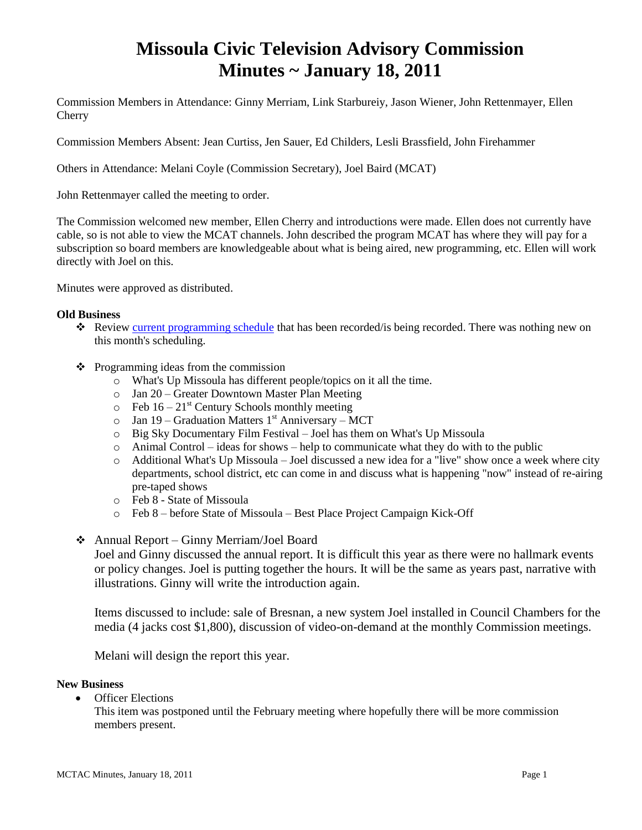# **Missoula Civic Television Advisory Commission Minutes ~ January 18, 2011**

Commission Members in Attendance: Ginny Merriam, Link Starbureiy, Jason Wiener, John Rettenmayer, Ellen Cherry

Commission Members Absent: Jean Curtiss, Jen Sauer, Ed Childers, Lesli Brassfield, John Firehammer

Others in Attendance: Melani Coyle (Commission Secretary), Joel Baird (MCAT)

John Rettenmayer called the meeting to order.

The Commission welcomed new member, Ellen Cherry and introductions were made. Ellen does not currently have cable, so is not able to view the MCAT channels. John described the program MCAT has where they will pay for a subscription so board members are knowledgeable about what is being aired, new programming, etc. Ellen will work directly with Joel on this.

Minutes were approved as distributed.

#### **Old Business**

- \* Review [current programming schedule](ftp://ftp.ci.missoula.mt.us/Documents/Mayor/GCCAC/2011/110118ProgSched.pdf) that has been recorded/is being recorded. There was nothing new on this month's scheduling.
- $\triangleleft$  Programming ideas from the commission
	- o What's Up Missoula has different people/topics on it all the time.
	- o Jan 20 Greater Downtown Master Plan Meeting
	- $\circ$  Feb 16 21<sup>st</sup> Century Schools monthly meeting
	- $\circ$  Jan 19 Graduation Matters 1<sup>st</sup> Anniversary MCT
	- o Big Sky Documentary Film Festival Joel has them on What's Up Missoula
	- $\circ$  Animal Control ideas for shows help to communicate what they do with to the public
	- o Additional What's Up Missoula Joel discussed a new idea for a "live" show once a week where city departments, school district, etc can come in and discuss what is happening "now" instead of re-airing pre-taped shows
	- o Feb 8 State of Missoula
	- o Feb 8 before State of Missoula Best Place Project Campaign Kick-Off
- Annual Report Ginny Merriam/Joel Board

Joel and Ginny discussed the annual report. It is difficult this year as there were no hallmark events or policy changes. Joel is putting together the hours. It will be the same as years past, narrative with illustrations. Ginny will write the introduction again.

Items discussed to include: sale of Bresnan, a new system Joel installed in Council Chambers for the media (4 jacks cost \$1,800), discussion of video-on-demand at the monthly Commission meetings.

Melani will design the report this year.

#### **New Business**

Officer Elections

This item was postponed until the February meeting where hopefully there will be more commission members present.